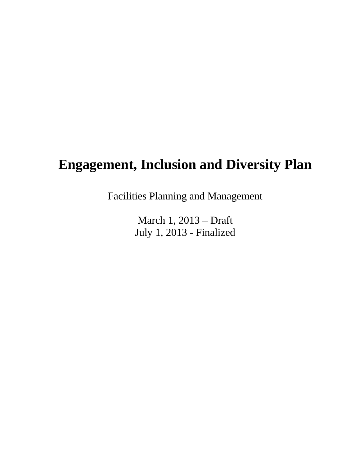# **Engagement, Inclusion and Diversity Plan**

Facilities Planning and Management

March 1, 2013 – Draft July 1, 2013 - Finalized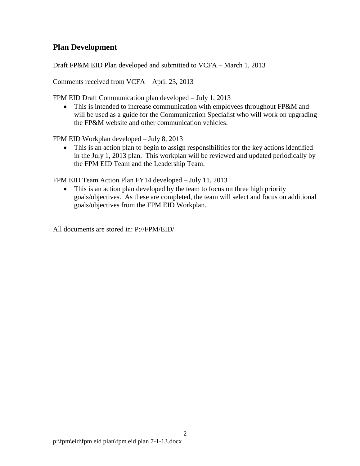## **Plan Development**

Draft FP&M EID Plan developed and submitted to VCFA – March 1, 2013

Comments received from VCFA – April 23, 2013

FPM EID Draft Communication plan developed – July 1, 2013

• This is intended to increase communication with employees throughout FP&M and will be used as a guide for the Communication Specialist who will work on upgrading the FP&M website and other communication vehicles.

FPM EID Workplan developed – July 8, 2013

 This is an action plan to begin to assign responsibilities for the key actions identified in the July 1, 2013 plan. This workplan will be reviewed and updated periodically by the FPM EID Team and the Leadership Team.

FPM EID Team Action Plan FY14 developed – July 11, 2013

• This is an action plan developed by the team to focus on three high priority goals/objectives. As these are completed, the team will select and focus on additional goals/objectives from the FPM EID Workplan.

All documents are stored in: P://FPM/EID/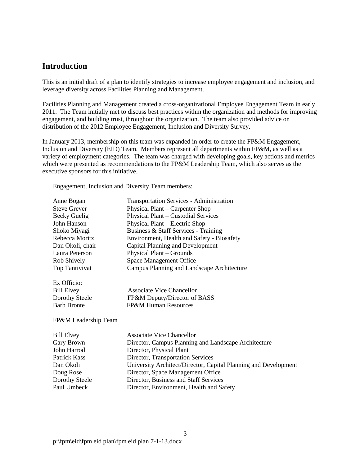## **Introduction**

This is an initial draft of a plan to identify strategies to increase employee engagement and inclusion, and leverage diversity across Facilities Planning and Management.

Facilities Planning and Management created a cross-organizational Employee Engagement Team in early 2011. The Team initially met to discuss best practices within the organization and methods for improving engagement, and building trust, throughout the organization. The team also provided advice on distribution of the 2012 Employee Engagement, Inclusion and Diversity Survey.

In January 2013, membership on this team was expanded in order to create the FP&M Engagement, Inclusion and Diversity (EID) Team. Members represent all departments within FP&M, as well as a variety of employment categories. The team was charged with developing goals, key actions and metrics which were presented as recommendations to the FP&M Leadership Team, which also serves as the executive sponsors for this initiative.

Engagement, Inclusion and Diversity Team members:

| Anne Bogan           | <b>Transportation Services - Administration</b> |
|----------------------|-------------------------------------------------|
| <b>Steve Grever</b>  | Physical Plant - Carpenter Shop                 |
| <b>Becky Guelig</b>  | Physical Plant – Custodial Services             |
| John Hanson          | Physical Plant – Electric Shop                  |
| Shoko Miyagi         | Business & Staff Services - Training            |
| Rebecca Moritz       | Environment, Health and Safety - Biosafety      |
| Dan Okoli, chair     | Capital Planning and Development                |
| Laura Peterson       | Physical Plant – Grounds                        |
| Rob Shively          | Space Management Office                         |
| Top Tantivivat       | Campus Planning and Landscape Architecture      |
| Ex Officio:          |                                                 |
| <b>Bill Elvey</b>    | Associate Vice Chancellor                       |
| Dorothy Steele       | FP&M Deputy/Director of BASS                    |
| <b>Barb Bronte</b>   | <b>FP&amp;M Human Resources</b>                 |
| FP&M Leadership Team |                                                 |
| <b>Bill Elvey</b>    | Associate Vice Chancellor                       |

| <b>Bill Elvey</b> | <b>Associate Vice Chancellor</b>                                |
|-------------------|-----------------------------------------------------------------|
| Gary Brown        | Director, Campus Planning and Landscape Architecture            |
| John Harrod       | Director, Physical Plant                                        |
| Patrick Kass      | Director, Transportation Services                               |
| Dan Okoli         | University Architect/Director, Capital Planning and Development |
| Doug Rose         | Director, Space Management Office                               |
| Dorothy Steele    | Director, Business and Staff Services                           |
| Paul Umbeck       | Director, Environment, Health and Safety                        |
|                   |                                                                 |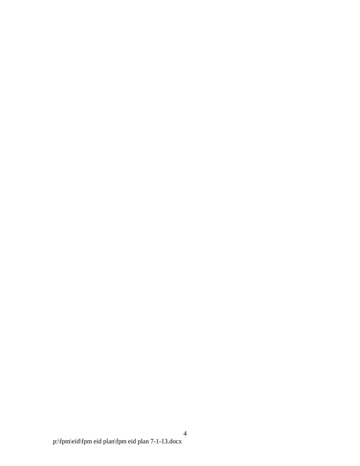p:\fpm\eid\fpm eid plan\fpm eid plan 7-1-13.docx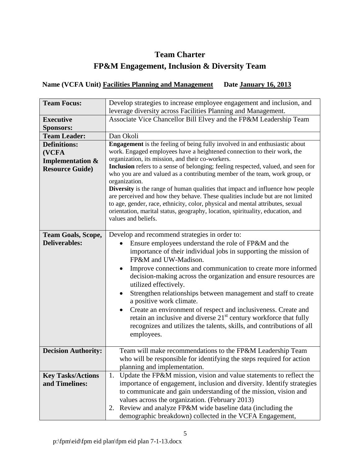## **Team Charter FP&M Engagement, Inclusion & Diversity Team**

## Name (VCFA Unit) Facilities Planning and Management Date January 16, 2013

| <b>Team Focus:</b>          | Develop strategies to increase employee engagement and inclusion, and<br>leverage diversity across Facilities Planning and Management.                           |  |  |  |
|-----------------------------|------------------------------------------------------------------------------------------------------------------------------------------------------------------|--|--|--|
| <b>Executive</b>            | Associate Vice Chancellor Bill Elvey and the FP&M Leadership Team                                                                                                |  |  |  |
| <b>Sponsors:</b>            |                                                                                                                                                                  |  |  |  |
| <b>Team Leader:</b>         | Dan Okoli                                                                                                                                                        |  |  |  |
| <b>Definitions:</b>         | <b>Engagement</b> is the feeling of being fully involved in and enthusiastic about                                                                               |  |  |  |
| (VCFA                       | work. Engaged employees have a heightened connection to their work, the                                                                                          |  |  |  |
| <b>Implementation &amp;</b> | organization, its mission, and their co-workers.                                                                                                                 |  |  |  |
| <b>Resource Guide)</b>      | Inclusion refers to a sense of belonging; feeling respected, valued, and seen for<br>who you are and valued as a contributing member of the team, work group, or |  |  |  |
|                             | organization.<br><b>Diversity</b> is the range of human qualities that impact and influence how people                                                           |  |  |  |
|                             | are perceived and how they behave. These qualities include but are not limited                                                                                   |  |  |  |
|                             | to age, gender, race, ethnicity, color, physical and mental attributes, sexual                                                                                   |  |  |  |
|                             | orientation, marital status, geography, location, spirituality, education, and<br>values and beliefs.                                                            |  |  |  |
|                             |                                                                                                                                                                  |  |  |  |
| <b>Team Goals, Scope,</b>   | Develop and recommend strategies in order to:                                                                                                                    |  |  |  |
| <b>Deliverables:</b>        | Ensure employees understand the role of FP&M and the                                                                                                             |  |  |  |
|                             | importance of their individual jobs in supporting the mission of                                                                                                 |  |  |  |
|                             | FP&M and UW-Madison.                                                                                                                                             |  |  |  |
|                             | Improve connections and communication to create more informed                                                                                                    |  |  |  |
|                             | decision-making across the organization and ensure resources are                                                                                                 |  |  |  |
|                             | utilized effectively.                                                                                                                                            |  |  |  |
|                             | Strengthen relationships between management and staff to create<br>٠<br>a positive work climate.                                                                 |  |  |  |
|                             | Create an environment of respect and inclusiveness. Create and<br>$\bullet$                                                                                      |  |  |  |
|                             | retain an inclusive and diverse $21st$ century workforce that fully                                                                                              |  |  |  |
|                             | recognizes and utilizes the talents, skills, and contributions of all                                                                                            |  |  |  |
|                             | employees.                                                                                                                                                       |  |  |  |
|                             |                                                                                                                                                                  |  |  |  |
| <b>Decision Authority:</b>  | Team will make recommendations to the FP&M Leadership Team                                                                                                       |  |  |  |
|                             | who will be responsible for identifying the steps required for action                                                                                            |  |  |  |
| <b>Key Tasks/Actions</b>    | planning and implementation.<br>1. Update the FP&M mission, vision and value statements to reflect the                                                           |  |  |  |
| and Timelines:              | importance of engagement, inclusion and diversity. Identify strategies                                                                                           |  |  |  |
|                             | to communicate and gain understanding of the mission, vision and                                                                                                 |  |  |  |
|                             | values across the organization. (February 2013)                                                                                                                  |  |  |  |
|                             | Review and analyze FP&M wide baseline data (including the<br>2.                                                                                                  |  |  |  |
|                             | demographic breakdown) collected in the VCFA Engagement,                                                                                                         |  |  |  |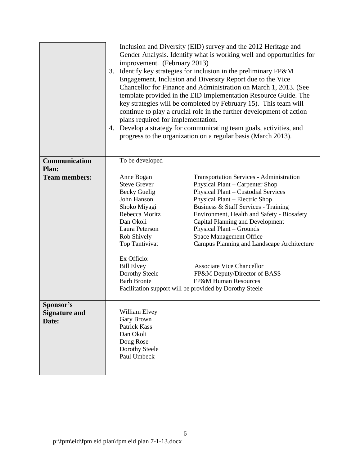|                                            |                                                                                                                                                                                                                                                       | Inclusion and Diversity (EID) survey and the 2012 Heritage and<br>Gender Analysis. Identify what is working well and opportunities for<br>improvement. (February 2013)<br>3. Identify key strategies for inclusion in the preliminary FP&M<br>Engagement, Inclusion and Diversity Report due to the Vice<br>Chancellor for Finance and Administration on March 1, 2013. (See<br>template provided in the EID Implementation Resource Guide. The<br>key strategies will be completed by February 15). This team will<br>continue to play a crucial role in the further development of action<br>plans required for implementation.<br>4. Develop a strategy for communicating team goals, activities, and<br>progress to the organization on a regular basis (March 2013). |  |  |
|--------------------------------------------|-------------------------------------------------------------------------------------------------------------------------------------------------------------------------------------------------------------------------------------------------------|---------------------------------------------------------------------------------------------------------------------------------------------------------------------------------------------------------------------------------------------------------------------------------------------------------------------------------------------------------------------------------------------------------------------------------------------------------------------------------------------------------------------------------------------------------------------------------------------------------------------------------------------------------------------------------------------------------------------------------------------------------------------------|--|--|
| Communication<br>Plan:                     | To be developed                                                                                                                                                                                                                                       |                                                                                                                                                                                                                                                                                                                                                                                                                                                                                                                                                                                                                                                                                                                                                                           |  |  |
| <b>Team members:</b>                       | Anne Bogan<br><b>Steve Grever</b><br><b>Becky Guelig</b><br>John Hanson<br>Shoko Miyagi<br>Rebecca Moritz<br>Dan Okoli<br>Laura Peterson<br>Rob Shively<br>Top Tantivivat<br>Ex Officio:<br><b>Bill Elvey</b><br>Dorothy Steele<br><b>Barb Bronte</b> | <b>Transportation Services - Administration</b><br>Physical Plant – Carpenter Shop<br>Physical Plant - Custodial Services<br>Physical Plant - Electric Shop<br>Business & Staff Services - Training<br>Environment, Health and Safety - Biosafety<br>Capital Planning and Development<br>Physical Plant - Grounds<br>Space Management Office<br>Campus Planning and Landscape Architecture<br><b>Associate Vice Chancellor</b><br>FP&M Deputy/Director of BASS<br>FP&M Human Resources<br>Facilitation support will be provided by Dorothy Steele                                                                                                                                                                                                                         |  |  |
| Sponsor's<br><b>Signature and</b><br>Date: | William Elvey<br>Gary Brown<br><b>Patrick Kass</b><br>Dan Okoli<br>Doug Rose<br>Dorothy Steele<br>Paul Umbeck                                                                                                                                         |                                                                                                                                                                                                                                                                                                                                                                                                                                                                                                                                                                                                                                                                                                                                                                           |  |  |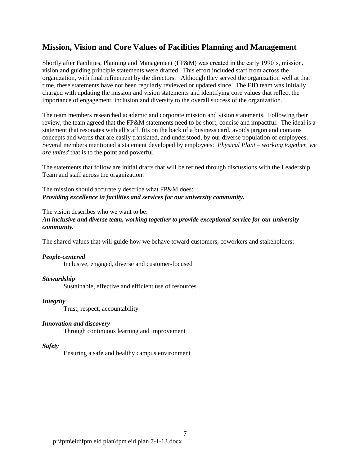## **Mission, Vision and Core Values of Facilities Planning and Management**

Shortly after Facilities, Planning and Management (FP&M) was created in the early 1990's, mission, vision and guiding principle statements were drafted. This effort included staff from across the organization, with final refinement by the directors. Although they served the organization well at that time, these statements have not been regularly reviewed or updated since. The EID team was initially charged with updating the mission and vision statements and identifying core values that reflect the importance of engagement, inclusion and diversity to the overall success of the organization.

The team members researched academic and corporate mission and vision statements. Following their review, the team agreed that the FP&M statements need to be short, concise and impactful. The ideal is a statement that resonates with all staff, fits on the back of a business card, avoids jargon and contains concepts and words that are easily translated, and understood, by our diverse population of employees. Several members mentioned a statement developed by employees: *Physical Plant – working together, we are united* that is to the point and powerful.

The statements that follow are initial drafts that will be refined through discussions with the Leadership Team and staff across the organization.

The mission should accurately describe what FP&M does: *Providing excellence in facilities and services for our university community.*

The vision describes who we want to be:

*An inclusive and diverse team, working together to provide exceptional service for our university community.*

The shared values that will guide how we behave toward customers, coworkers and stakeholders:

#### *People-centered*

Inclusive, engaged, diverse and customer-focused

#### *Stewardship*

Sustainable, effective and efficient use of resources

#### *Integrity*

Trust, respect, accountability

#### *Innovation and discovery*

Through continuous learning and improvement

#### *Safety*

Ensuring a safe and healthy campus environment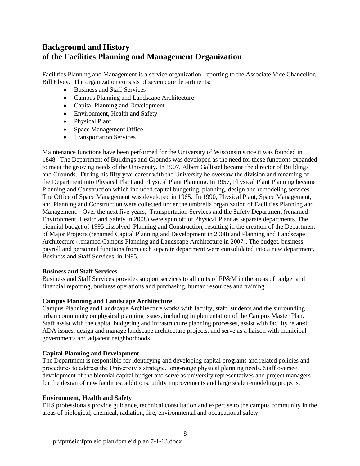## **Background and History of the Facilities Planning and Management Organization**

Facilities Planning and Management is a service organization, reporting to the Associate Vice Chancellor, Bill Elvey. The organization consists of seven core departments:

- Business and Staff Services
- Campus Planning and Landscape Architecture
- Capital Planning and Development
- Environment, Health and Safety
- Physical Plant
- Space Management Office
- Transportation Services

Maintenance functions have been performed for the University of Wisconsin since it was founded in 1848. The Department of Buildings and Grounds was developed as the need for these functions expanded to meet the growing needs of the University. In 1907, Albert Gallistel became the director of Buildings and Grounds. During his fifty year career with the University he oversaw the division and renaming of the Department into Physical Plant and Physical Plant Planning. In 1957, Physical Plant Planning became Planning and Construction which included capital budgeting, planning, design and remodeling services. The Office of Space Management was developed in 1965. In 1990, Physical Plant, Space Management, and Planning and Construction were collected under the umbrella organization of Facilities Planning and Management. Over the next five years, Transportation Services and the Safety Department (renamed Environment, Health and Safety in 2008) were spun off of Physical Plant as separate departments. The biennial budget of 1995 dissolved Planning and Construction, resulting in the creation of the Department of Major Projects (renamed Capital Planning and Development in 2008) and Planning and Landscape Architecture (renamed Campus Planning and Landscape Architecture in 2007). The budget, business, payroll and personnel functions from each separate department were consolidated into a new department, Business and Staff Services, in 1995.

#### **Business and Staff Services**

Business and Staff Services provides support services to all units of FP&M in the areas of budget and financial reporting, business operations and purchasing, human resources and training.

#### **Campus Planning and Landscape Architecture**

Campus Planning and Landscape Architecture works with faculty, staff, students and the surrounding urban community on physical planning issues, including implementation of the Campus Master Plan. Staff assist with the capital budgeting and infrastructure planning processes, assist with facility related ADA issues, design and manage landscape architecture projects, and serve as a liaison with municipal governments and adjacent neighborhoods.

#### **Capital Planning and Development**

The Department is responsible for identifying and developing capital programs and related policies and procedures to address the University's strategic, long-range physical planning needs. Staff oversee development of the biennial capital budget and serve as university representatives and project managers for the design of new facilities, additions, utility improvements and large scale remodeling projects.

#### **Environment, Health and Safety**

EHS professionals provide guidance, technical consultation and expertise to the campus community in the areas of biological, chemical, radiation, fire, environmental and occupational safety.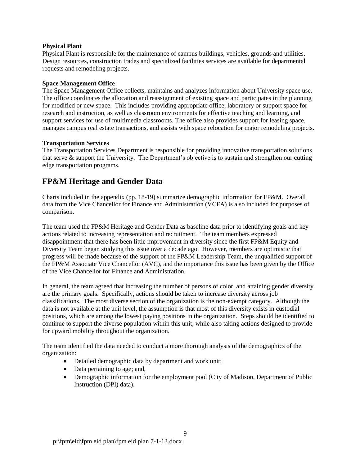#### **Physical Plant**

Physical Plant is responsible for the maintenance of campus buildings, vehicles, grounds and utilities. Design resources, construction trades and specialized facilities services are available for departmental requests and remodeling projects.

#### **Space Management Office**

The Space Management Office collects, maintains and analyzes information about University space use. The office coordinates the allocation and reassignment of existing space and participates in the planning for modified or new space. This includes providing appropriate office, laboratory or support space for research and instruction, as well as classroom environments for effective teaching and learning, and support services for use of multimedia classrooms. The office also provides support for leasing space, manages campus real estate transactions, and assists with space relocation for major remodeling projects.

#### **Transportation Services**

The Transportation Services Department is responsible for providing innovative transportation solutions that serve & support the University. The Department's objective is to sustain and strengthen our cutting edge transportation programs.

## **FP&M Heritage and Gender Data**

Charts included in the appendix (pp. 18-19) summarize demographic information for FP&M. Overall data from the Vice Chancellor for Finance and Administration (VCFA) is also included for purposes of comparison.

The team used the FP&M Heritage and Gender Data as baseline data prior to identifying goals and key actions related to increasing representation and recruitment. The team members expressed disappointment that there has been little improvement in diversity since the first FP&M Equity and Diversity Team began studying this issue over a decade ago. However, members are optimistic that progress will be made because of the support of the FP&M Leadership Team, the unqualified support of the FP&M Associate Vice Chancellor (AVC), and the importance this issue has been given by the Office of the Vice Chancellor for Finance and Administration.

In general, the team agreed that increasing the number of persons of color, and attaining gender diversity are the primary goals. Specifically, actions should be taken to increase diversity across job classifications. The most diverse section of the organization is the non-exempt category. Although the data is not available at the unit level, the assumption is that most of this diversity exists in custodial positions, which are among the lowest paying positions in the organization. Steps should be identified to continue to support the diverse population within this unit, while also taking actions designed to provide for upward mobility throughout the organization.

The team identified the data needed to conduct a more thorough analysis of the demographics of the organization:

- Detailed demographic data by department and work unit;
- Data pertaining to age; and,
- Demographic information for the employment pool (City of Madison, Department of Public Instruction (DPI) data).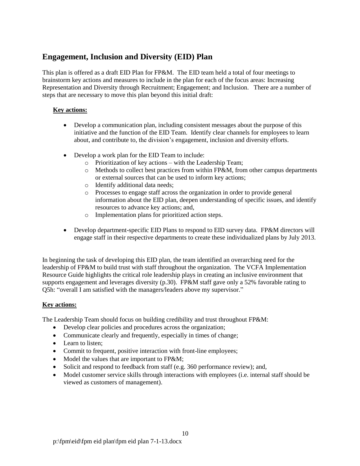## **Engagement, Inclusion and Diversity (EID) Plan**

This plan is offered as a draft EID Plan for FP&M. The EID team held a total of four meetings to brainstorm key actions and measures to include in the plan for each of the focus areas: Increasing Representation and Diversity through Recruitment; Engagement; and Inclusion. There are a number of steps that are necessary to move this plan beyond this initial draft:

#### **Key actions:**

- Develop a communication plan, including consistent messages about the purpose of this initiative and the function of the EID Team. Identify clear channels for employees to learn about, and contribute to, the division's engagement, inclusion and diversity efforts.
- Develop a work plan for the EID Team to include:
	- o Prioritization of key actions with the Leadership Team;
	- o Methods to collect best practices from within FP&M, from other campus departments or external sources that can be used to inform key actions;
	- o Identify additional data needs;
	- o Processes to engage staff across the organization in order to provide general information about the EID plan, deepen understanding of specific issues, and identify resources to advance key actions; and,
	- o Implementation plans for prioritized action steps.
- Develop department-specific EID Plans to respond to EID survey data. FP&M directors will engage staff in their respective departments to create these individualized plans by July 2013.

In beginning the task of developing this EID plan, the team identified an overarching need for the leadership of FP&M to build trust with staff throughout the organization. The VCFA Implementation Resource Guide highlights the critical role leadership plays in creating an inclusive environment that supports engagement and leverages diversity (p.30). FP&M staff gave only a 52% favorable rating to Q5h: "overall I am satisfied with the managers/leaders above my supervisor."

#### **Key actions:**

The Leadership Team should focus on building credibility and trust throughout FP&M:

- Develop clear policies and procedures across the organization;
- Communicate clearly and frequently, especially in times of change;
- Learn to listen;
- Commit to frequent, positive interaction with front-line employees;
- Model the values that are important to FP&M;
- Solicit and respond to feedback from staff (e.g. 360 performance review); and,
- Model customer service skills through interactions with employees (i.e. internal staff should be viewed as customers of management).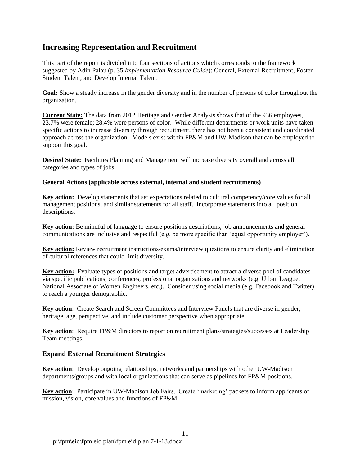## **Increasing Representation and Recruitment**

This part of the report is divided into four sections of actions which corresponds to the framework suggested by Adin Palau (p. 35 *Implementation Resource Guide*): General, External Recruitment, Foster Student Talent, and Develop Internal Talent.

**Goal:** Show a steady increase in the gender diversity and in the number of persons of color throughout the organization.

**Current State:** The data from 2012 Heritage and Gender Analysis shows that of the 936 employees, 23.7% were female; 28.4% were persons of color. While different departments or work units have taken specific actions to increase diversity through recruitment, there has not been a consistent and coordinated approach across the organization. Models exist within FP&M and UW-Madison that can be employed to support this goal.

**Desired State:** Facilities Planning and Management will increase diversity overall and across all categories and types of jobs.

#### **General Actions (applicable across external, internal and student recruitments)**

**Key action:** Develop statements that set expectations related to cultural competency/core values for all management positions, and similar statements for all staff. Incorporate statements into all position descriptions.

**Key action:** Be mindful of language to ensure positions descriptions, job announcements and general communications are inclusive and respectful (e.g. be more specific than 'equal opportunity employer').

**Key action:** Review recruitment instructions/exams/interview questions to ensure clarity and elimination of cultural references that could limit diversity.

**Key action:** Evaluate types of positions and target advertisement to attract a diverse pool of candidates via specific publications, conferences, professional organizations and networks (e.g. Urban League, National Associate of Women Engineers, etc.). Consider using social media (e.g. Facebook and Twitter), to reach a younger demographic.

**Key action**: Create Search and Screen Committees and Interview Panels that are diverse in gender, heritage, age, perspective, and include customer perspective when appropriate.

**Key action**: Require FP&M directors to report on recruitment plans/strategies/successes at Leadership Team meetings.

#### **Expand External Recruitment Strategies**

**Key action**: Develop ongoing relationships, networks and partnerships with other UW-Madison departments/groups and with local organizations that can serve as pipelines for FP&M positions.

**Key action**: Participate in UW-Madison Job Fairs. Create 'marketing' packets to inform applicants of mission, vision, core values and functions of FP&M.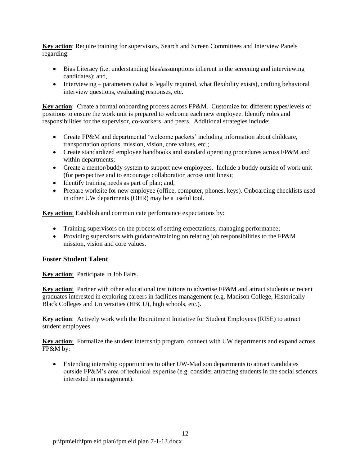**Key action**: Require training for supervisors, Search and Screen Committees and Interview Panels regarding:

- Bias Literacy (i.e. understanding bias/assumptions inherent in the screening and interviewing candidates); and,
- Interviewing parameters (what is legally required, what flexibility exists), crafting behavioral interview questions, evaluating responses, etc.

**Key action**: Create a formal onboarding process across FP&M. Customize for different types/levels of positions to ensure the work unit is prepared to welcome each new employee. Identify roles and responsibilities for the supervisor, co-workers, and peers. Additional strategies include:

- Create FP&M and departmental 'welcome packets' including information about childcare, transportation options, mission, vision, core values, etc.;
- Create standardized employee handbooks and standard operating procedures across FP&M and within departments;
- Create a mentor/buddy system to support new employees. Include a buddy outside of work unit (for perspective and to encourage collaboration across unit lines);
- Identify training needs as part of plan; and,
- Prepare worksite for new employee (office, computer, phones, keys). Onboarding checklists used in other UW departments (OHR) may be a useful tool.

**Key action**: Establish and communicate performance expectations by:

- Training supervisors on the process of setting expectations, managing performance;
- Providing supervisors with guidance/training on relating job responsibilities to the FP&M mission, vision and core values.

#### **Foster Student Talent**

**Key action**: Participate in Job Fairs.

**Key action**: Partner with other educational institutions to advertise FP&M and attract students or recent graduates interested in exploring careers in facilities management (e.g. Madison College, Historically Black Colleges and Universities (HBCU), high schools, etc.).

**Key action**: Actively work with the Recruitment Initiative for Student Employees (RISE) to attract student employees.

**Key action**: Formalize the student internship program, connect with UW departments and expand across FP&M by:

 Extending internship opportunities to other UW-Madison departments to attract candidates outside FP&M's area of technical expertise (e.g. consider attracting students in the social sciences interested in management).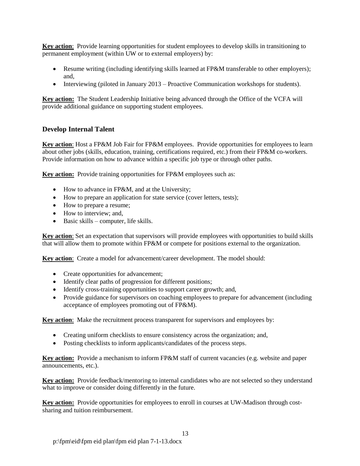**Key action**: Provide learning opportunities for student employees to develop skills in transitioning to permanent employment (within UW or to external employers) by:

- Resume writing (including identifying skills learned at FP&M transferable to other employers); and,
- Interviewing (piloted in January 2013 Proactive Communication workshops for students).

**Key action:** The Student Leadership Initiative being advanced through the Office of the VCFA will provide additional guidance on supporting student employees.

## **Develop Internal Talent**

**Key action**: Host a FP&M Job Fair for FP&M employees. Provide opportunities for employees to learn about other jobs (skills, education, training, certifications required, etc.) from their FP&M co-workers. Provide information on how to advance within a specific job type or through other paths.

**Key action:** Provide training opportunities for FP&M employees such as:

- How to advance in FP&M, and at the University;
- How to prepare an application for state service (cover letters, tests);
- How to prepare a resume;
- How to interview; and,
- $\bullet$  Basic skills computer, life skills.

**Key action:** Set an expectation that supervisors will provide employees with opportunities to build skills that will allow them to promote within FP&M or compete for positions external to the organization.

**Key action:** Create a model for advancement/career development. The model should:

- Create opportunities for advancement;
- Identify clear paths of progression for different positions;
- Identify cross-training opportunities to support career growth; and,
- Provide guidance for supervisors on coaching employees to prepare for advancement (including acceptance of employees promoting out of FP&M).

**Key action**: Make the recruitment process transparent for supervisors and employees by:

- Creating uniform checklists to ensure consistency across the organization; and,
- Posting checklists to inform applicants/candidates of the process steps.

**Key action:** Provide a mechanism to inform FP&M staff of current vacancies (e.g. website and paper announcements, etc.).

**Key action:** Provide feedback/mentoring to internal candidates who are not selected so they understand what to improve or consider doing differently in the future.

13

**Key action:** Provide opportunities for employees to enroll in courses at UW-Madison through costsharing and tuition reimbursement.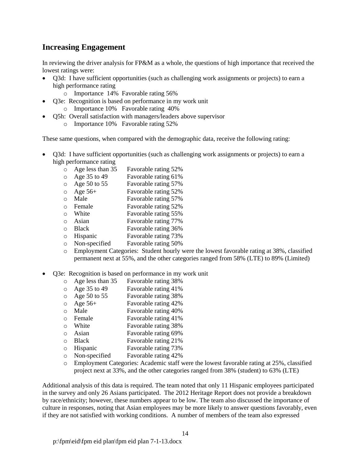## **Increasing Engagement**

In reviewing the driver analysis for FP&M as a whole, the questions of high importance that received the lowest ratings were:

- Q3d: I have sufficient opportunities (such as challenging work assignments or projects) to earn a high performance rating
	- o Importance 14% Favorable rating 56%
- Q3e: Recognition is based on performance in my work unit
	- o Importance 10% Favorable rating 40%
- Q5h: Overall satisfaction with managers/leaders above supervisor
	- o Importance 10% Favorable rating 52%

These same questions, when compared with the demographic data, receive the following rating:

- Q3d: I have sufficient opportunities (such as challenging work assignments or projects) to earn a high performance rating
	- o Age less than 35 Favorable rating 52%
	- o Age 35 to 49 Favorable rating 61%
	- o Age 50 to 55 Favorable rating 57%
	- o Age 56+ Favorable rating 52%
	- o Male Favorable rating 57%
	- o Female Favorable rating 52%<br>
	o White Favorable rating 55%
	- Favorable rating 55%
	- o Asian Favorable rating 77%
	- o Black Favorable rating 36%
	- o Hispanic Favorable rating 73%
	- o Non-specified Favorable rating 50%
	- o Employment Categories: Student hourly were the lowest favorable rating at 38%, classified permanent next at 55%, and the other categories ranged from 58% (LTE) to 89% (Limited)
- Q3e: Recognition is based on performance in my work unit
	- o Age less than 35 Favorable rating 38%
	- o Age 35 to 49 Favorable rating 41%
	- o Age 50 to 55 Favorable rating 38%
	- o Age 56+ Favorable rating 42%
	- o Male Favorable rating 40%
	- o Female Favorable rating 41%
	- o White Favorable rating 38%<br>
	o Asian Favorable rating 69%
	- Favorable rating 69%
	- o Black Favorable rating 21%
	- o Hispanic Favorable rating 73%
	- o Non-specified Favorable rating 42%
	- o Employment Categories: Academic staff were the lowest favorable rating at 25%, classified project next at 33%, and the other categories ranged from 38% (student) to 63% (LTE)

Additional analysis of this data is required. The team noted that only 11 Hispanic employees participated in the survey and only 26 Asians participated. The 2012 Heritage Report does not provide a breakdown by race/ethnicity; however, these numbers appear to be low. The team also discussed the importance of culture in responses, noting that Asian employees may be more likely to answer questions favorably, even if they are not satisfied with working conditions. A number of members of the team also expressed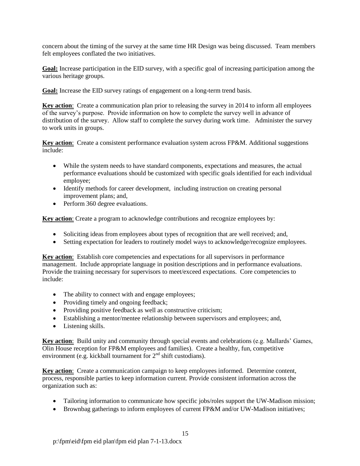concern about the timing of the survey at the same time HR Design was being discussed. Team members felt employees conflated the two initiatives.

**Goal:** Increase participation in the EID survey, with a specific goal of increasing participation among the various heritage groups.

**Goal:** Increase the EID survey ratings of engagement on a long-term trend basis.

**Key action**: Create a communication plan prior to releasing the survey in 2014 to inform all employees of the survey's purpose. Provide information on how to complete the survey well in advance of distribution of the survey. Allow staff to complete the survey during work time. Administer the survey to work units in groups.

**Key action**: Create a consistent performance evaluation system across FP&M. Additional suggestions include:

- While the system needs to have standard components, expectations and measures, the actual performance evaluations should be customized with specific goals identified for each individual employee;
- Identify methods for career development, including instruction on creating personal improvement plans; and,
- Perform 360 degree evaluations.

**Key action**: Create a program to acknowledge contributions and recognize employees by:

- Soliciting ideas from employees about types of recognition that are well received; and,
- Setting expectation for leaders to routinely model ways to acknowledge/recognize employees.

**Key action**: Establish core competencies and expectations for all supervisors in performance management. Include appropriate language in position descriptions and in performance evaluations. Provide the training necessary for supervisors to meet/exceed expectations. Core competencies to include:

- The ability to connect with and engage employees;
- Providing timely and ongoing feedback;
- Providing positive feedback as well as constructive criticism;
- Establishing a mentor/mentee relationship between supervisors and employees; and,
- Listening skills.

**Key action**: Build unity and community through special events and celebrations (e.g. Mallards' Games, Olin House reception for FP&M employees and families). Create a healthy, fun, competitive environment (e.g. kickball tournament for  $2<sup>nd</sup>$  shift custodians).

**Key action**: Create a communication campaign to keep employees informed. Determine content, process, responsible parties to keep information current. Provide consistent information across the organization such as:

- Tailoring information to communicate how specific jobs/roles support the UW-Madison mission;
- Brownbag gatherings to inform employees of current FP&M and/or UW-Madison initiatives;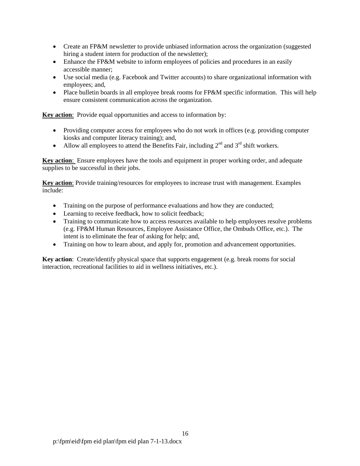- Create an FP&M newsletter to provide unbiased information across the organization (suggested hiring a student intern for production of the newsletter);
- Enhance the FP&M website to inform employees of policies and procedures in an easily accessible manner;
- Use social media (e.g. Facebook and Twitter accounts) to share organizational information with employees; and,
- Place bulletin boards in all employee break rooms for FP&M specific information. This will help ensure consistent communication across the organization.

**Key action**: Provide equal opportunities and access to information by:

- Providing computer access for employees who do not work in offices (e.g. providing computer kiosks and computer literacy training); and,
- Allow all employees to attend the Benefits Fair, including  $2<sup>nd</sup>$  and  $3<sup>rd</sup>$  shift workers.

**Key action**: Ensure employees have the tools and equipment in proper working order, and adequate supplies to be successful in their jobs.

**Key action**: Provide training/resources for employees to increase trust with management. Examples include:

- Training on the purpose of performance evaluations and how they are conducted;
- Learning to receive feedback, how to solicit feedback;
- Training to communicate how to access resources available to help employees resolve problems (e.g. FP&M Human Resources, Employee Assistance Office, the Ombuds Office, etc.). The intent is to eliminate the fear of asking for help; and,
- Training on how to learn about, and apply for, promotion and advancement opportunities.

**Key action**: Create/identify physical space that supports engagement (e.g. break rooms for social interaction, recreational facilities to aid in wellness initiatives, etc.).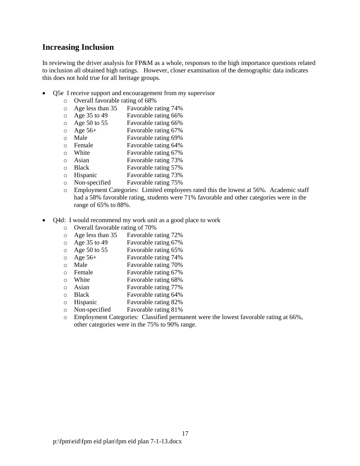## **Increasing Inclusion**

In reviewing the driver analysis for FP&M as a whole, responses to the high importance questions related to inclusion all obtained high ratings. However, closer examination of the demographic data indicates this does not hold true for all heritage groups.

- Q5e I receive support and encouragement from my supervisor
	- o Overall favorable rating of 68%
	- o Age less than 35 Favorable rating 74%
	- o Age 35 to 49 Favorable rating 66%
	- o Age 50 to 55 Favorable rating 66%
	- o Age 56+ Favorable rating 67%
	- o Male Favorable rating 69%
	- o Female Favorable rating 64%
	- o White Favorable rating 67%
	- o Asian Favorable rating 73%
	- o Black Favorable rating 57%
	- o Hispanic Favorable rating 73%
	- o Non-specified Favorable rating 75%
	- o Employment Categories: Limited employees rated this the lowest at 56%. Academic staff had a 58% favorable rating, students were 71% favorable and other categories were in the range of 65% to 88%.
- Q4d: I would recommend my work unit as a good place to work
	- o Overall favorable rating of 70%
	- o Age less than 35 Favorable rating 72%
	- o Age 35 to 49 Favorable rating 67%
	- o Age 50 to 55 Favorable rating 65%
	- o Age 56+ Favorable rating 74%
	- o Male Favorable rating 70%
	- o Female Favorable rating 67%
	- o White Favorable rating 68%
	- o Asian Favorable rating 77%
	- o Black Favorable rating 64%
	- o Hispanic Favorable rating 82%
	- o Non-specified Favorable rating 81%
	- o Employment Categories: Classified permanent were the lowest favorable rating at 66%, other categories were in the 75% to 90% range.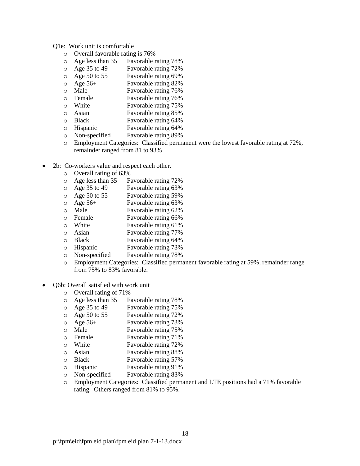#### Q1e: Work unit is comfortable

- o Overall favorable rating is 76%
- o Age less than 35 Favorable rating 78%
- o Age 35 to 49 Favorable rating 72%
- o Age 50 to 55 Favorable rating 69%
- o Age 56+ Favorable rating 82%
- o Male Favorable rating 76%
- o Female Favorable rating 76%
- o White Favorable rating 75%
- o Asian Favorable rating 85%
- o Black Favorable rating 64%
- o Hispanic Favorable rating 64%
- o Non-specified Favorable rating 89%
- o Employment Categories: Classified permanent were the lowest favorable rating at 72%, remainder ranged from 81 to 93%
- 2b: Co-workers value and respect each other.
	- o Overall rating of 63%
	- o Age less than 35 Favorable rating 72%
	- o Age 35 to 49 Favorable rating 63%
	- o Age 50 to 55 Favorable rating 59%
	- o Age 56+ Favorable rating 63%
	- o Male Favorable rating 62%
	- o Female Favorable rating 66%
	- o White Favorable rating 61%
	- o Asian Favorable rating 77%
	- o Black Favorable rating 64%
	- o Hispanic Favorable rating 73%
	- o Non-specified Favorable rating 78%
	- o Employment Categories: Classified permanent favorable rating at 59%, remainder range from 75% to 83% favorable.
- Q6b: Overall satisfied with work unit
	- o Overall rating of 71%
	- o Age less than 35 Favorable rating 78%
	- o Age 35 to 49 Favorable rating 75%
	- o Age 50 to 55 Favorable rating 72%
	- o Age 56+ Favorable rating 73%
	- o Male Favorable rating 75%
	- o Female Favorable rating 71%
	- o White Favorable rating 72%
	- o Asian Favorable rating 88%
	- o Black Favorable rating 57%
	- o Hispanic Favorable rating 91%
	- o Non-specified Favorable rating 83%
	- o Employment Categories: Classified permanent and LTE positions had a 71% favorable rating. Others ranged from 81% to 95%.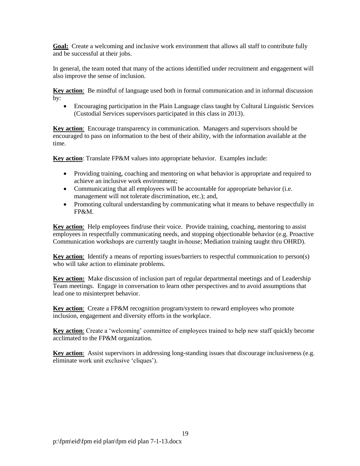**Goal:** Create a welcoming and inclusive work environment that allows all staff to contribute fully and be successful at their jobs.

In general, the team noted that many of the actions identified under recruitment and engagement will also improve the sense of inclusion.

**Key action**: Be mindful of language used both in formal communication and in informal discussion by:

 Encouraging participation in the Plain Language class taught by Cultural Linguistic Services (Custodial Services supervisors participated in this class in 2013).

**Key action**: Encourage transparency in communication. Managers and supervisors should be encouraged to pass on information to the best of their ability, with the information available at the time.

**Key action**: Translate FP&M values into appropriate behavior. Examples include:

- Providing training, coaching and mentoring on what behavior is appropriate and required to achieve an inclusive work environment;
- Communicating that all employees will be accountable for appropriate behavior (i.e. management will not tolerate discrimination, etc.); and,
- Promoting cultural understanding by communicating what it means to behave respectfully in FP&M.

**Key action**: Help employees find/use their voice. Provide training, coaching, mentoring to assist employees in respectfully communicating needs, and stopping objectionable behavior (e.g. Proactive Communication workshops are currently taught in-house; Mediation training taught thru OHRD).

**Key action**: Identify a means of reporting issues/barriers to respectful communication to person(s) who will take action to eliminate problems.

**Key action:** Make discussion of inclusion part of regular departmental meetings and of Leadership Team meetings. Engage in conversation to learn other perspectives and to avoid assumptions that lead one to misinterpret behavior.

**Key action**: Create a FP&M recognition program/system to reward employees who promote inclusion, engagement and diversity efforts in the workplace.

**Key action**: Create a 'welcoming' committee of employees trained to help new staff quickly become acclimated to the FP&M organization.

**Key action:** Assist supervisors in addressing long-standing issues that discourage inclusiveness (e.g. eliminate work unit exclusive 'cliques').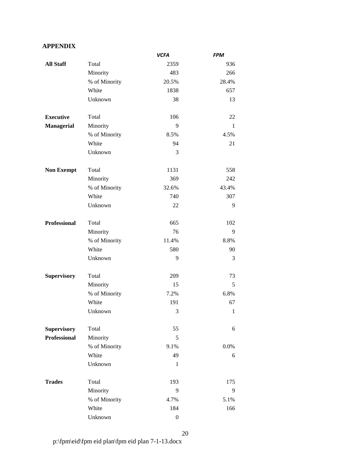## **APPENDIX**

|                     |               | <b>VCFA</b>      | <b>FPM</b>   |
|---------------------|---------------|------------------|--------------|
| <b>All Staff</b>    | Total         | 2359             | 936          |
|                     | Minority      | 483              | 266          |
|                     | % of Minority | 20.5%            | 28.4%        |
|                     | White         | 1838             | 657          |
|                     | Unknown       | 38               | 13           |
| <b>Executive</b>    | Total         | 106              | 22           |
| <b>Managerial</b>   | Minority      | 9                | $\mathbf{1}$ |
|                     | % of Minority | 8.5%             | 4.5%         |
|                     | White         | 94               | 21           |
|                     | Unknown       | 3                |              |
| <b>Non Exempt</b>   | Total         | 1131             | 558          |
|                     | Minority      | 369              | 242          |
|                     | % of Minority | 32.6%            | 43.4%        |
|                     | White         | 740              | 307          |
|                     | Unknown       | 22               | 9            |
| <b>Professional</b> | Total         | 665              | 102          |
|                     | Minority      | 76               | 9            |
|                     | % of Minority | 11.4%            | 8.8%         |
|                     | White         | 580              | 90           |
|                     | Unknown       | 9                | 3            |
| <b>Supervisory</b>  | Total         | 209              | 73           |
|                     | Minority      | 15               | 5            |
|                     | % of Minority | 7.2%             | 6.8%         |
|                     | White         | 191              | 67           |
|                     | Unknown       | 3                | $\mathbf{1}$ |
| <b>Supervisory</b>  | Total         | 55               | 6            |
| <b>Professional</b> | Minority      | 5                |              |
|                     | % of Minority | 9.1%             | 0.0%         |
|                     | White         | 49               | 6            |
|                     | Unknown       | 1                |              |
| <b>Trades</b>       | Total         | 193              | 175          |
|                     | Minority      | 9                | 9            |
|                     | % of Minority | 4.7%             | 5.1%         |
|                     | White         | 184              | 166          |
|                     | Unknown       | $\boldsymbol{0}$ |              |

p:\fpm\eid\fpm eid plan\fpm eid plan 7-1-13.docx